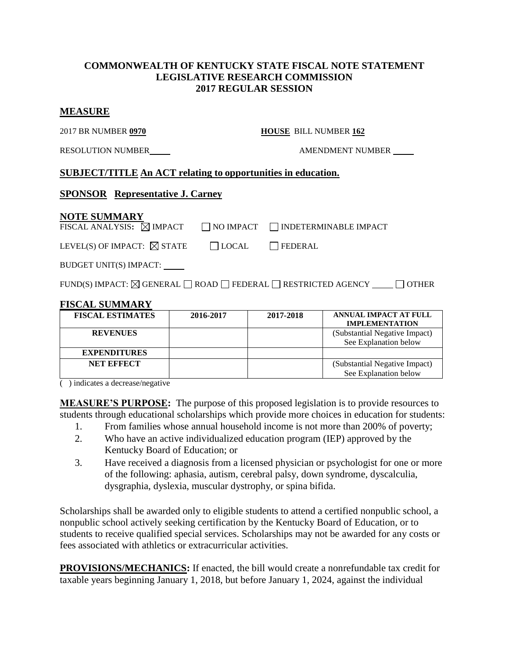## **COMMONWEALTH OF KENTUCKY STATE FISCAL NOTE STATEMENT LEGISLATIVE RESEARCH COMMISSION 2017 REGULAR SESSION**

#### **MEASURE**

2017 BR NUMBER **0970 HOUSE** BILL NUMBER **162**

RESOLUTION NUMBER  $\qquad$   $\qquad$   $\qquad$   $\qquad$   $\qquad$   $\qquad$   $\qquad$   $\qquad$   $\qquad$   $\qquad$   $\qquad$   $\qquad$   $\qquad$   $\qquad$   $\qquad$   $\qquad$   $\qquad$   $\qquad$   $\qquad$   $\qquad$   $\qquad$   $\qquad$   $\qquad$   $\qquad$   $\qquad$   $\qquad$   $\qquad$   $\qquad$   $\qquad$   $\qquad$   $\qquad$   $\qquad$   $\qquad$   $\qquad$ 

## **SUBJECT/TITLE An ACT relating to opportunities in education.**

### **SPONSOR Representative J. Carney**

### **NOTE SUMMARY**

| FISCAL ANALYSIS: $\boxtimes$ IMPACT |  | NO IMPACT NINDETERMINABLE IMPACT |
|-------------------------------------|--|----------------------------------|
|                                     |  |                                  |

# LEVEL(S) OF IMPACT:  $\boxtimes$  STATE  $\Box$  LOCAL  $\Box$  FEDERAL

BUDGET UNIT(S) IMPACT:

FUND(S) IMPACT:  $\boxtimes$  GENERAL  $\Box$  ROAD  $\Box$  FEDERAL  $\Box$  RESTRICTED AGENCY  $\Box$  OTHER

## **FISCAL SUMMARY**

| <b>FISCAL ESTIMATES</b> | 2016-2017 | 2017-2018 | <b>ANNUAL IMPACT AT FULL</b><br><b>IMPLEMENTATION</b>  |
|-------------------------|-----------|-----------|--------------------------------------------------------|
| <b>REVENUES</b>         |           |           | (Substantial Negative Impact)<br>See Explanation below |
| <b>EXPENDITURES</b>     |           |           |                                                        |
| <b>NET EFFECT</b>       |           |           | (Substantial Negative Impact)<br>See Explanation below |

 $\overline{(\ )}$  indicates a decrease/negative

**MEASURE'S PURPOSE:** The purpose of this proposed legislation is to provide resources to students through educational scholarships which provide more choices in education for students:

- 1. From families whose annual household income is not more than 200% of poverty;
- 2. Who have an active individualized education program (IEP) approved by the Kentucky Board of Education; or
- 3. Have received a diagnosis from a licensed physician or psychologist for one or more of the following: aphasia, autism, cerebral palsy, down syndrome, dyscalculia, dysgraphia, dyslexia, muscular dystrophy, or spina bifida.

Scholarships shall be awarded only to eligible students to attend a certified nonpublic school, a nonpublic school actively seeking certification by the Kentucky Board of Education, or to students to receive qualified special services. Scholarships may not be awarded for any costs or fees associated with athletics or extracurricular activities.

**PROVISIONS/MECHANICS:** If enacted, the bill would create a nonrefundable tax credit for taxable years beginning January 1, 2018, but before January 1, 2024, against the individual